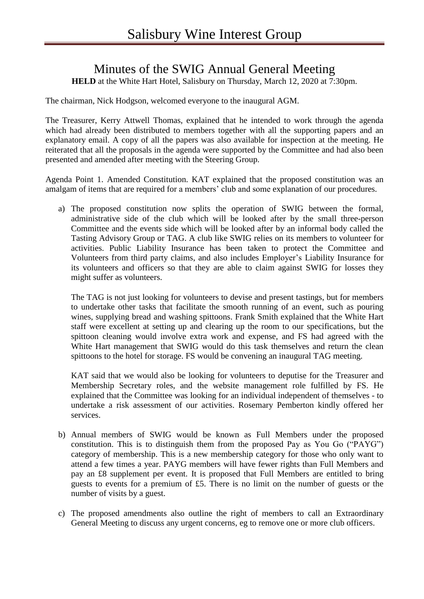## Minutes of the SWIG Annual General Meeting

**HELD** at the White Hart Hotel, Salisbury on Thursday, March 12, 2020 at 7:30pm.

The chairman, Nick Hodgson, welcomed everyone to the inaugural AGM.

The Treasurer, Kerry Attwell Thomas, explained that he intended to work through the agenda which had already been distributed to members together with all the supporting papers and an explanatory email. A copy of all the papers was also available for inspection at the meeting. He reiterated that all the proposals in the agenda were supported by the Committee and had also been presented and amended after meeting with the Steering Group.

Agenda Point 1. Amended Constitution. KAT explained that the proposed constitution was an amalgam of items that are required for a members' club and some explanation of our procedures.

a) The proposed constitution now splits the operation of SWIG between the formal, administrative side of the club which will be looked after by the small three-person Committee and the events side which will be looked after by an informal body called the Tasting Advisory Group or TAG. A club like SWIG relies on its members to volunteer for activities. Public Liability Insurance has been taken to protect the Committee and Volunteers from third party claims, and also includes Employer's Liability Insurance for its volunteers and officers so that they are able to claim against SWIG for losses they might suffer as volunteers.

The TAG is not just looking for volunteers to devise and present tastings, but for members to undertake other tasks that facilitate the smooth running of an event, such as pouring wines, supplying bread and washing spittoons. Frank Smith explained that the White Hart staff were excellent at setting up and clearing up the room to our specifications, but the spittoon cleaning would involve extra work and expense, and FS had agreed with the White Hart management that SWIG would do this task themselves and return the clean spittoons to the hotel for storage. FS would be convening an inaugural TAG meeting.

KAT said that we would also be looking for volunteers to deputise for the Treasurer and Membership Secretary roles, and the website management role fulfilled by FS. He explained that the Committee was looking for an individual independent of themselves - to undertake a risk assessment of our activities. Rosemary Pemberton kindly offered her services.

- b) Annual members of SWIG would be known as Full Members under the proposed constitution. This is to distinguish them from the proposed Pay as You Go ("PAYG") category of membership. This is a new membership category for those who only want to attend a few times a year. PAYG members will have fewer rights than Full Members and pay an £8 supplement per event. It is proposed that Full Members are entitled to bring guests to events for a premium of £5. There is no limit on the number of guests or the number of visits by a guest.
- c) The proposed amendments also outline the right of members to call an Extraordinary General Meeting to discuss any urgent concerns, eg to remove one or more club officers.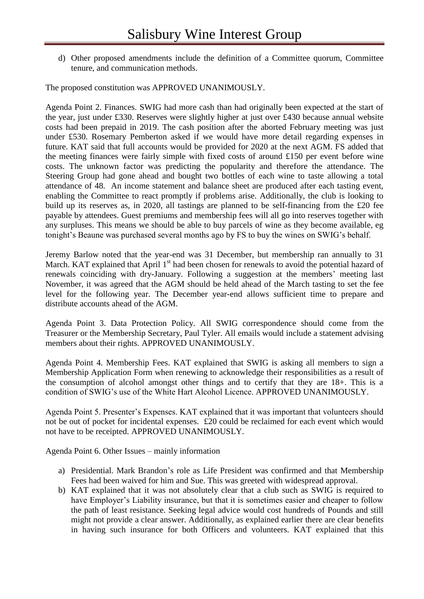d) Other proposed amendments include the definition of a Committee quorum, Committee tenure, and communication methods.

The proposed constitution was APPROVED UNANIMOUSLY.

Agenda Point 2. Finances. SWIG had more cash than had originally been expected at the start of the year, just under £330. Reserves were slightly higher at just over £430 because annual website costs had been prepaid in 2019. The cash position after the aborted February meeting was just under £530. Rosemary Pemberton asked if we would have more detail regarding expenses in future. KAT said that full accounts would be provided for 2020 at the next AGM. FS added that the meeting finances were fairly simple with fixed costs of around £150 per event before wine costs. The unknown factor was predicting the popularity and therefore the attendance. The Steering Group had gone ahead and bought two bottles of each wine to taste allowing a total attendance of 48. An income statement and balance sheet are produced after each tasting event, enabling the Committee to react promptly if problems arise. Additionally, the club is looking to build up its reserves as, in 2020, all tastings are planned to be self-financing from the £20 fee payable by attendees. Guest premiums and membership fees will all go into reserves together with any surpluses. This means we should be able to buy parcels of wine as they become available, eg tonight's Beaune was purchased several months ago by FS to buy the wines on SWIG's behalf.

Jeremy Barlow noted that the year-end was 31 December, but membership ran annually to 31 March. KAT explained that April  $1<sup>st</sup>$  had been chosen for renewals to avoid the potential hazard of renewals coinciding with dry-January. Following a suggestion at the members' meeting last November, it was agreed that the AGM should be held ahead of the March tasting to set the fee level for the following year. The December year-end allows sufficient time to prepare and distribute accounts ahead of the AGM.

Agenda Point 3. Data Protection Policy. All SWIG correspondence should come from the Treasurer or the Membership Secretary, Paul Tyler. All emails would include a statement advising members about their rights. APPROVED UNANIMOUSLY.

Agenda Point 4. Membership Fees. KAT explained that SWIG is asking all members to sign a Membership Application Form when renewing to acknowledge their responsibilities as a result of the consumption of alcohol amongst other things and to certify that they are 18+. This is a condition of SWIG's use of the White Hart Alcohol Licence. APPROVED UNANIMOUSLY.

Agenda Point 5. Presenter's Expenses. KAT explained that it was important that volunteers should not be out of pocket for incidental expenses. £20 could be reclaimed for each event which would not have to be receipted. APPROVED UNANIMOUSLY.

Agenda Point 6. Other Issues – mainly information

- a) Presidential. Mark Brandon's role as Life President was confirmed and that Membership Fees had been waived for him and Sue. This was greeted with widespread approval.
- b) KAT explained that it was not absolutely clear that a club such as SWIG is required to have Employer's Liability insurance, but that it is sometimes easier and cheaper to follow the path of least resistance. Seeking legal advice would cost hundreds of Pounds and still might not provide a clear answer. Additionally, as explained earlier there are clear benefits in having such insurance for both Officers and volunteers. KAT explained that this